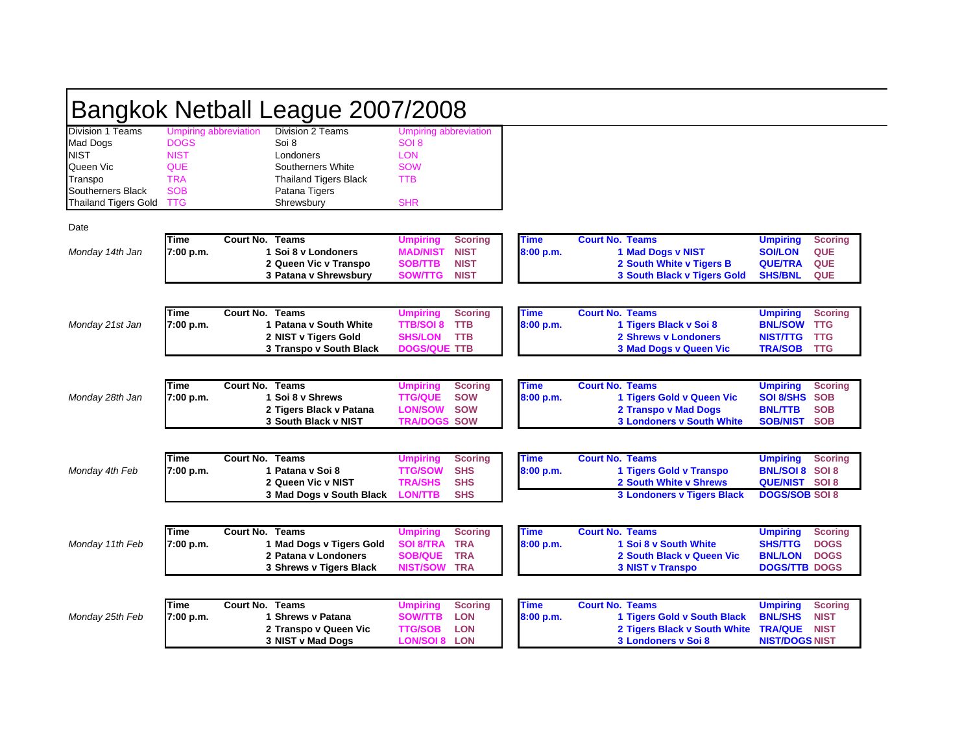| Bangkok Netball League 2007/2008                   |                                                     |                                                                                                 |                                                                        |                                                             |                          |                                                                                                               |                                                                       |                                                          |  |  |
|----------------------------------------------------|-----------------------------------------------------|-------------------------------------------------------------------------------------------------|------------------------------------------------------------------------|-------------------------------------------------------------|--------------------------|---------------------------------------------------------------------------------------------------------------|-----------------------------------------------------------------------|----------------------------------------------------------|--|--|
| Division 1 Teams<br><b>Mad Dogs</b><br><b>NIST</b> | Umpiring abbreviation<br><b>DOGS</b><br><b>NIST</b> | Division 2 Teams<br>Soi 8<br>Londoners                                                          | Umpiring abbreviation<br>SOI <sub>8</sub><br><b>LON</b>                |                                                             |                          |                                                                                                               |                                                                       |                                                          |  |  |
| Queen Vic<br>Transpo                               | <b>QUE</b><br><b>TRA</b>                            | Southerners White<br><b>Thailand Tigers Black</b>                                               | <b>SOW</b><br><b>TTB</b>                                               |                                                             |                          |                                                                                                               |                                                                       |                                                          |  |  |
| Southerners Black<br><b>Thailand Tigers Gold</b>   | <b>SOB</b><br><b>TTG</b>                            | Patana Tigers<br>Shrewsbury                                                                     | <b>SHR</b>                                                             |                                                             |                          |                                                                                                               |                                                                       |                                                          |  |  |
| Date                                               |                                                     |                                                                                                 |                                                                        |                                                             |                          |                                                                                                               |                                                                       |                                                          |  |  |
| Monday 14th Jan                                    | Time<br>7:00 p.m.                                   | <b>Court No. Teams</b><br>1 Soi 8 v Londoners<br>2 Queen Vic v Transpo<br>3 Patana v Shrewsbury | <b>Umpiring</b><br><b>MAD/NIST</b><br><b>SOB/TTB</b><br><b>SOW/TTG</b> | <b>Scoring</b><br><b>NIST</b><br><b>NIST</b><br><b>NIST</b> | Time<br>8:00 p.m.        | <b>Court No. Teams</b><br>1 Mad Dogs v NIST<br>2 South White v Tigers B<br><b>3 South Black v Tigers Gold</b> | <b>Umpiring</b><br><b>SOI/LON</b><br><b>QUE/TRA</b><br><b>SHS/BNL</b> | <b>Scoring</b><br><b>QUE</b><br><b>QUE</b><br><b>QUE</b> |  |  |
| Monday 21st Jan                                    | Time<br>7:00 p.m.                                   | <b>Court No. Teams</b><br>1 Patana v South White<br>2 NIST v Tigers Gold                        | <b>Umpiring</b><br><b>TTB/SOI 8</b><br><b>SHS/LON</b>                  | <b>Scoring</b><br><b>TTB</b><br><b>TTB</b>                  | <b>Time</b><br>8:00 p.m. | <b>Court No. Teams</b><br>1 Tigers Black v Soi 8<br><b>2 Shrews v Londoners</b>                               | <b>Umpiring</b><br><b>BNL/SOW</b><br><b>NIST/TTG</b>                  | <b>Scoring</b><br><b>TTG</b><br><b>TTG</b>               |  |  |
|                                                    |                                                     | 3 Transpo v South Black                                                                         | <b>DOGS/QUE TTB</b>                                                    |                                                             |                          | 3 Mad Dogs v Queen Vic                                                                                        | <b>TRA/SOB</b>                                                        | <b>TTG</b>                                               |  |  |
|                                                    | Time                                                | <b>Court No. Teams</b>                                                                          | <b>Umpiring</b>                                                        | <b>Scoring</b>                                              | <b>Time</b>              | <b>Court No. Teams</b>                                                                                        | <b>Umpiring</b>                                                       | <b>Scoring</b>                                           |  |  |
| Monday 28th Jan                                    | 7:00 p.m.                                           | 1 Soi 8 v Shrews<br>2 Tigers Black v Patana<br>3 South Black v NIST                             | <b>TTG/QUE</b><br><b>LON/SOW</b><br><b>TRA/DOGS SOW</b>                | <b>SOW</b><br><b>SOW</b>                                    | 8:00 p.m.                | 1 Tigers Gold v Queen Vic<br><b>2 Transpo v Mad Dogs</b><br><b>3 Londoners v South White</b>                  | <b>SOI 8/SHS</b><br><b>BNL/TTB</b><br><b>SOB/NIST</b>                 | <b>SOB</b><br><b>SOB</b><br><b>SOB</b>                   |  |  |
|                                                    |                                                     | <b>Court No. Teams</b>                                                                          |                                                                        |                                                             |                          |                                                                                                               |                                                                       |                                                          |  |  |
| Monday 4th Feb                                     | Time<br>7:00 p.m.                                   | 1 Patana v Soi 8<br>2 Queen Vic v NIST                                                          | <b>Umpiring</b><br><b>TTG/SOW</b><br><b>TRA/SHS</b>                    | <b>Scoring</b><br><b>SHS</b><br><b>SHS</b>                  | Time<br>8:00 p.m.        | <b>Court No. Teams</b><br>1 Tigers Gold v Transpo<br>2 South White v Shrews                                   | <b>Umpiring</b><br><b>BNL/SOI 8 SOI 8</b><br><b>QUE/NIST SOI 8</b>    | <b>Scoring</b>                                           |  |  |
|                                                    |                                                     | 3 Mad Dogs v South Black                                                                        | <b>LON/TTB</b>                                                         | <b>SHS</b>                                                  |                          | <b>3 Londoners v Tigers Black</b>                                                                             | <b>DOGS/SOB SOI 8</b>                                                 |                                                          |  |  |
| Monday 11th Feb                                    | Time<br>7:00 p.m.                                   | <b>Court No. Teams</b><br>1 Mad Dogs v Tigers Gold                                              | <b>Umpiring</b><br><b>SOI 8/TRA</b>                                    | <b>Scoring</b><br><b>TRA</b>                                | <b>Time</b><br>8:00 p.m. | <b>Court No. Teams</b><br>1 Soi 8 v South White                                                               | <b>Umpiring</b><br><b>SHS/TTG</b>                                     | <b>Scoring</b><br><b>DOGS</b>                            |  |  |
|                                                    |                                                     | 2 Patana v Londoners<br>3 Shrews v Tigers Black                                                 | <b>SOB/QUE</b><br><b>NIST/SOW</b>                                      | <b>TRA</b><br><b>TRA</b>                                    |                          | 2 South Black v Queen Vic<br><b>3 NIST v Transpo</b>                                                          | <b>BNL/LON</b><br><b>DOGS/TTB DOGS</b>                                | <b>DOGS</b>                                              |  |  |
|                                                    | <b>Time</b>                                         | <b>Court No. Teams</b>                                                                          | <b>Umpiring</b>                                                        | <b>Scoring</b>                                              | <b>Time</b>              | <b>Court No. Teams</b>                                                                                        | <b>Umpiring</b>                                                       | <b>Scoring</b>                                           |  |  |
| Monday 25th Feb                                    | 7:00 p.m.                                           | 1 Shrews v Patana<br>2 Transpo v Queen Vic<br>3 NIST v Mad Dogs                                 | <b>SOW/TTB</b><br><b>TTG/SOB</b><br><b>LON/SOI 8 LON</b>               | <b>LON</b><br><b>LON</b>                                    | 8:00 p.m.                | 1 Tigers Gold v South Black<br>2 Tigers Black v South White<br>3 Londoners v Soi 8                            | <b>BNL/SHS</b><br><b>TRA/QUE</b><br><b>NIST/DOGS NIST</b>             | <b>NIST</b><br><b>NIST</b>                               |  |  |